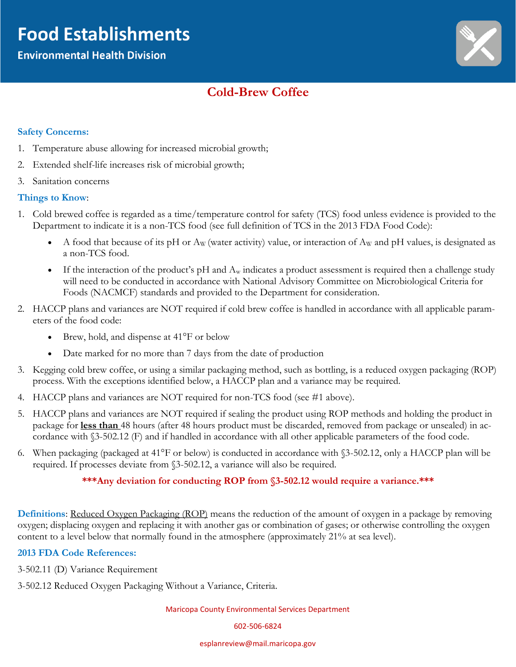# **Food Establishments**

### **Environmental Health Division**



## **Cold-Brew Coffee**

#### **Safety Concerns:**

- 1. Temperature abuse allowing for increased microbial growth;
- 2. Extended shelf-life increases risk of microbial growth;
- 3. Sanitation concerns

#### **Things to Know**:

- 1. Cold brewed coffee is regarded as a time/temperature control for safety (TCS) food unless evidence is provided to the Department to indicate it is a non-TCS food (see full definition of TCS in the 2013 FDA Food Code):
	- A food that because of its pH or  $A_W$  (water activity) value, or interaction of  $A_W$  and pH values, is designated as a non-TCS food.
	- If the interaction of the product's pH and  $A_w$  indicates a product assessment is required then a challenge study will need to be conducted in accordance with National Advisory Committee on Microbiological Criteria for Foods (NACMCF) standards and provided to the Department for consideration.
- 2. HACCP plans and variances are NOT required if cold brew coffee is handled in accordance with all applicable parameters of the food code:
	- Brew, hold, and dispense at 41°F or below
	- Date marked for no more than 7 days from the date of production
- 3. Kegging cold brew coffee, or using a similar packaging method, such as bottling, is a reduced oxygen packaging (ROP) process. With the exceptions identified below, a HACCP plan and a variance may be required.
- 4. HACCP plans and variances are NOT required for non-TCS food (see #1 above).
- 5. HACCP plans and variances are NOT required if sealing the product using ROP methods and holding the product in package for **less than** 48 hours (after 48 hours product must be discarded, removed from package or unsealed) in accordance with §3-502.12 (F) and if handled in accordance with all other applicable parameters of the food code.
- 6. When packaging (packaged at 41°F or below) is conducted in accordance with §3-502.12, only a HACCP plan will be required. If processes deviate from §3-502.12, a variance will also be required.

#### **\*\*\*Any deviation for conducting ROP from §3-502.12 would require a variance.\*\*\***

**Definitions**: Reduced Oxygen Packaging (ROP) means the reduction of the amount of oxygen in a package by removing oxygen; displacing oxygen and replacing it with another gas or combination of gases; or otherwise controlling the oxygen content to a level below that normally found in the atmosphere (approximately 21% at sea level).

#### **2013 FDA Code References:**

3-502.11 (D) Variance Requirement

3-502.12 Reduced Oxygen Packaging Without a Variance, Criteria.

Maricopa County Environmental Services Department

602-506-6824

esplanreview@mail.maricopa.gov